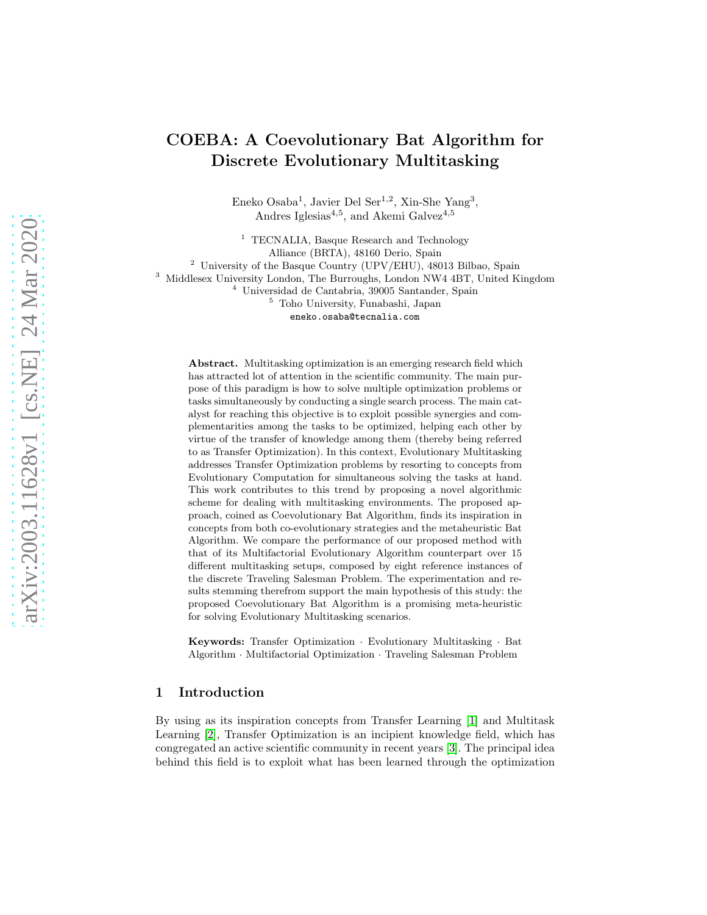# COEBA: A Coevolutionary Bat Algorithm for Discrete Evolutionary Multitasking

Eneko Osaba<sup>1</sup>, Javier Del Ser<sup>1,2</sup>, Xin-She Yang<sup>3</sup>, Andres Iglesias<sup>4,5</sup>, and Akemi Galvez<sup>4,5</sup>

<sup>1</sup> TECNALIA, Basque Research and Technology Alliance (BRTA), 48160 Derio, Spain <sup>2</sup> University of the Basque Country (UPV/EHU), 48013 Bilbao, Spain <sup>3</sup> Middlesex University London, The Burroughs, London NW4 4BT, United Kingdom <sup>4</sup> Universidad de Cantabria, 39005 Santander, Spain <sup>5</sup> Toho University, Funabashi, Japan eneko.osaba@tecnalia.com

Abstract. Multitasking optimization is an emerging research field which has attracted lot of attention in the scientific community. The main purpose of this paradigm is how to solve multiple optimization problems or tasks simultaneously by conducting a single search process. The main catalyst for reaching this objective is to exploit possible synergies and complementarities among the tasks to be optimized, helping each other by virtue of the transfer of knowledge among them (thereby being referred to as Transfer Optimization). In this context, Evolutionary Multitasking addresses Transfer Optimization problems by resorting to concepts from Evolutionary Computation for simultaneous solving the tasks at hand. This work contributes to this trend by proposing a novel algorithmic scheme for dealing with multitasking environments. The proposed approach, coined as Coevolutionary Bat Algorithm, finds its inspiration in concepts from both co-evolutionary strategies and the metaheuristic Bat Algorithm. We compare the performance of our proposed method with that of its Multifactorial Evolutionary Algorithm counterpart over 15 different multitasking setups, composed by eight reference instances of the discrete Traveling Salesman Problem. The experimentation and results stemming therefrom support the main hypothesis of this study: the proposed Coevolutionary Bat Algorithm is a promising meta-heuristic for solving Evolutionary Multitasking scenarios.

Keywords: Transfer Optimization · Evolutionary Multitasking · Bat Algorithm · Multifactorial Optimization · Traveling Salesman Problem

# <span id="page-0-0"></span>1 Introduction

By using as its inspiration concepts from Transfer Learning [\[1\]](#page-10-0) and Multitask Learning [\[2\]](#page-10-1), Transfer Optimization is an incipient knowledge field, which has congregated an active scientific community in recent years [\[3\]](#page-10-2). The principal idea behind this field is to exploit what has been learned through the optimization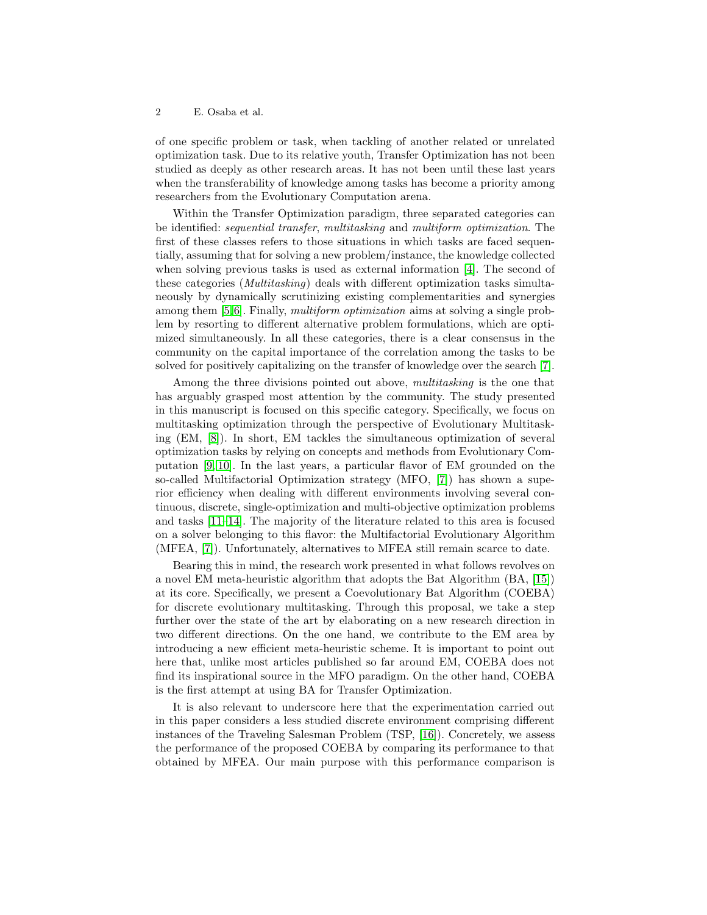#### 2 E. Osaba et al.

of one specific problem or task, when tackling of another related or unrelated optimization task. Due to its relative youth, Transfer Optimization has not been studied as deeply as other research areas. It has not been until these last years when the transferability of knowledge among tasks has become a priority among researchers from the Evolutionary Computation arena.

Within the Transfer Optimization paradigm, three separated categories can be identified: sequential transfer, multitasking and multiform optimization. The first of these classes refers to those situations in which tasks are faced sequentially, assuming that for solving a new problem/instance, the knowledge collected when solving previous tasks is used as external information [\[4\]](#page-10-3). The second of these categories (Multitasking) deals with different optimization tasks simultaneously by dynamically scrutinizing existing complementarities and synergies among them [\[5,](#page-10-4)[6\]](#page-10-5). Finally, multiform optimization aims at solving a single problem by resorting to different alternative problem formulations, which are optimized simultaneously. In all these categories, there is a clear consensus in the community on the capital importance of the correlation among the tasks to be solved for positively capitalizing on the transfer of knowledge over the search [\[7\]](#page-10-6).

Among the three divisions pointed out above, *multitasking* is the one that has arguably grasped most attention by the community. The study presented in this manuscript is focused on this specific category. Specifically, we focus on multitasking optimization through the perspective of Evolutionary Multitasking (EM, [\[8\]](#page-10-7)). In short, EM tackles the simultaneous optimization of several optimization tasks by relying on concepts and methods from Evolutionary Computation [\[9,](#page-10-8) [10\]](#page-10-9). In the last years, a particular flavor of EM grounded on the so-called Multifactorial Optimization strategy (MFO, [\[7\]](#page-10-6)) has shown a superior efficiency when dealing with different environments involving several continuous, discrete, single-optimization and multi-objective optimization problems and tasks [\[11–](#page-11-0)[14\]](#page-11-1). The majority of the literature related to this area is focused on a solver belonging to this flavor: the Multifactorial Evolutionary Algorithm (MFEA, [\[7\]](#page-10-6)). Unfortunately, alternatives to MFEA still remain scarce to date.

Bearing this in mind, the research work presented in what follows revolves on a novel EM meta-heuristic algorithm that adopts the Bat Algorithm (BA, [\[15\]](#page-11-2)) at its core. Specifically, we present a Coevolutionary Bat Algorithm (COEBA) for discrete evolutionary multitasking. Through this proposal, we take a step further over the state of the art by elaborating on a new research direction in two different directions. On the one hand, we contribute to the EM area by introducing a new efficient meta-heuristic scheme. It is important to point out here that, unlike most articles published so far around EM, COEBA does not find its inspirational source in the MFO paradigm. On the other hand, COEBA is the first attempt at using BA for Transfer Optimization.

It is also relevant to underscore here that the experimentation carried out in this paper considers a less studied discrete environment comprising different instances of the Traveling Salesman Problem (TSP, [\[16\]](#page-11-3)). Concretely, we assess the performance of the proposed COEBA by comparing its performance to that obtained by MFEA. Our main purpose with this performance comparison is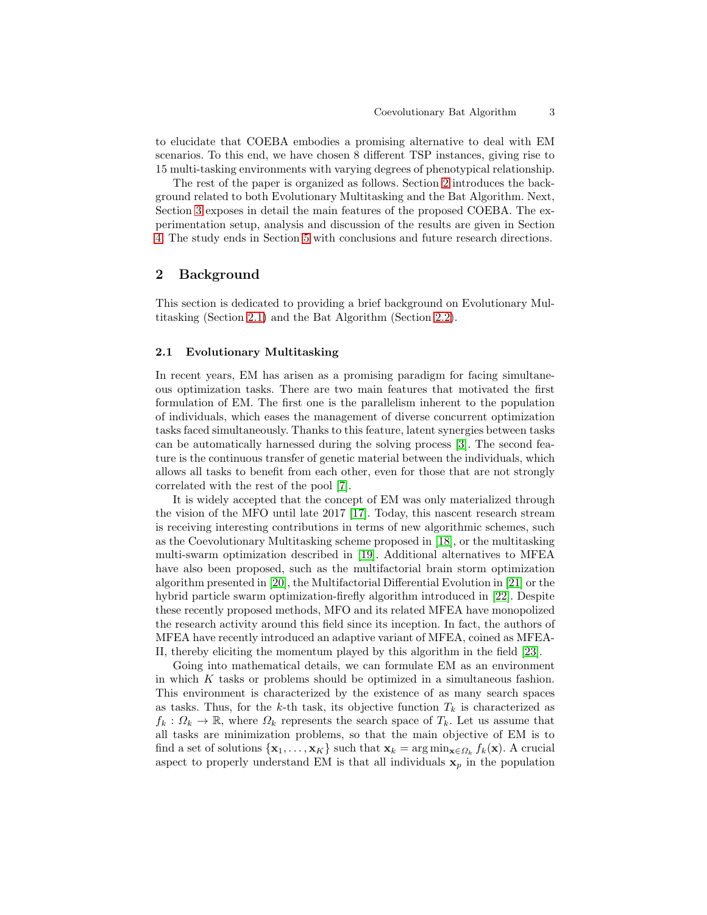to elucidate that COEBA embodies a promising alternative to deal with EM scenarios. To this end, we have chosen 8 different TSP instances, giving rise to 15 multi-tasking environments with varying degrees of phenotypical relationship.

The rest of the paper is organized as follows. Section [2](#page-2-0) introduces the background related to both Evolutionary Multitasking and the Bat Algorithm. Next, Section [3](#page-4-0) exposes in detail the main features of the proposed COEBA. The experimentation setup, analysis and discussion of the results are given in Section [4.](#page-5-0) The study ends in Section [5](#page-9-0) with conclusions and future research directions.

## <span id="page-2-0"></span>2 Background

This section is dedicated to providing a brief background on Evolutionary Multitasking (Section [2.1\)](#page-2-1) and the Bat Algorithm (Section [2.2\)](#page-3-0).

## <span id="page-2-1"></span>2.1 Evolutionary Multitasking

In recent years, EM has arisen as a promising paradigm for facing simultaneous optimization tasks. There are two main features that motivated the first formulation of EM. The first one is the parallelism inherent to the population of individuals, which eases the management of diverse concurrent optimization tasks faced simultaneously. Thanks to this feature, latent synergies between tasks can be automatically harnessed during the solving process [\[3\]](#page-10-2). The second feature is the continuous transfer of genetic material between the individuals, which allows all tasks to benefit from each other, even for those that are not strongly correlated with the rest of the pool [\[7\]](#page-10-6).

It is widely accepted that the concept of EM was only materialized through the vision of the MFO until late 2017 [\[17\]](#page-11-4). Today, this nascent research stream is receiving interesting contributions in terms of new algorithmic schemes, such as the Coevolutionary Multitasking scheme proposed in [\[18\]](#page-11-5), or the multitasking multi-swarm optimization described in [\[19\]](#page-11-6). Additional alternatives to MFEA have also been proposed, such as the multifactorial brain storm optimization algorithm presented in [\[20\]](#page-11-7), the Multifactorial Differential Evolution in [\[21\]](#page-11-8) or the hybrid particle swarm optimization-firefly algorithm introduced in [\[22\]](#page-11-9). Despite these recently proposed methods, MFO and its related MFEA have monopolized the research activity around this field since its inception. In fact, the authors of MFEA have recently introduced an adaptive variant of MFEA, coined as MFEA-II, thereby eliciting the momentum played by this algorithm in the field [\[23\]](#page-11-10).

Going into mathematical details, we can formulate EM as an environment in which K tasks or problems should be optimized in a simultaneous fashion. This environment is characterized by the existence of as many search spaces as tasks. Thus, for the k-th task, its objective function  $T_k$  is characterized as  $f_k: \Omega_k \to \mathbb{R}$ , where  $\Omega_k$  represents the search space of  $T_k$ . Let us assume that all tasks are minimization problems, so that the main objective of EM is to find a set of solutions  $\{x_1, \ldots, x_K\}$  such that  $x_k = \arg \min_{x \in \Omega_k} f_k(x)$ . A crucial aspect to properly understand EM is that all individuals  $x_p$  in the population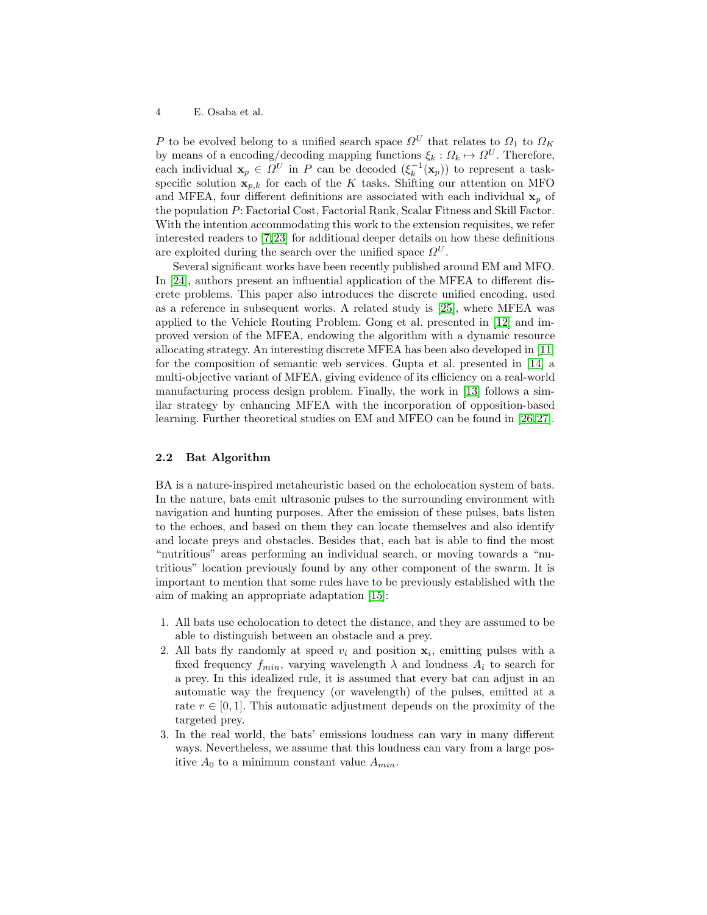4 E. Osaba et al.

P to be evolved belong to a unified search space  $\Omega^U$  that relates to  $\Omega_1$  to  $\Omega_K$ by means of a encoding/decoding mapping functions  $\xi_k : \Omega_k \mapsto \Omega^U$ . Therefore, each individual  $\mathbf{x}_p \in \Omega^U$  in P can be decoded  $(\xi_k^{-1})$  $\binom{-1}{k}$  (**x**<sub>p</sub>)) to represent a taskspecific solution  $x_{p,k}$  for each of the K tasks. Shifting our attention on MFO and MFEA, four different definitions are associated with each individual  $x_p$  of the population P: Factorial Cost, Factorial Rank, Scalar Fitness and Skill Factor. With the intention accommodating this work to the extension requisites, we refer interested readers to [\[7,](#page-10-6)[23\]](#page-11-10) for additional deeper details on how these definitions are exploited during the search over the unified space  $\Omega^U$ .

Several significant works have been recently published around EM and MFO. In [\[24\]](#page-11-11), authors present an influential application of the MFEA to different discrete problems. This paper also introduces the discrete unified encoding, used as a reference in subsequent works. A related study is [\[25\]](#page-11-12), where MFEA was applied to the Vehicle Routing Problem. Gong et al. presented in [\[12\]](#page-11-13) and improved version of the MFEA, endowing the algorithm with a dynamic resource allocating strategy. An interesting discrete MFEA has been also developed in [\[11\]](#page-11-0) for the composition of semantic web services. Gupta et al. presented in [\[14\]](#page-11-1) a multi-objective variant of MFEA, giving evidence of its efficiency on a real-world manufacturing process design problem. Finally, the work in [\[13\]](#page-11-14) follows a similar strategy by enhancing MFEA with the incorporation of opposition-based learning. Further theoretical studies on EM and MFEO can be found in [\[26,](#page-11-15)27].

## <span id="page-3-0"></span>2.2 Bat Algorithm

BA is a nature-inspired metaheuristic based on the echolocation system of bats. In the nature, bats emit ultrasonic pulses to the surrounding environment with navigation and hunting purposes. After the emission of these pulses, bats listen to the echoes, and based on them they can locate themselves and also identify and locate preys and obstacles. Besides that, each bat is able to find the most "nutritious" areas performing an individual search, or moving towards a "nutritious" location previously found by any other component of the swarm. It is important to mention that some rules have to be previously established with the aim of making an appropriate adaptation [\[15\]](#page-11-2):

- 1. All bats use echolocation to detect the distance, and they are assumed to be able to distinguish between an obstacle and a prey.
- 2. All bats fly randomly at speed  $v_i$  and position  $x_i$ , emitting pulses with a fixed frequency  $f_{min}$ , varying wavelength  $\lambda$  and loudness  $A_i$  to search for a prey. In this idealized rule, it is assumed that every bat can adjust in an automatic way the frequency (or wavelength) of the pulses, emitted at a rate  $r \in [0, 1]$ . This automatic adjustment depends on the proximity of the targeted prey.
- 3. In the real world, the bats' emissions loudness can vary in many different ways. Nevertheless, we assume that this loudness can vary from a large positive  $A_0$  to a minimum constant value  $A_{min}$ .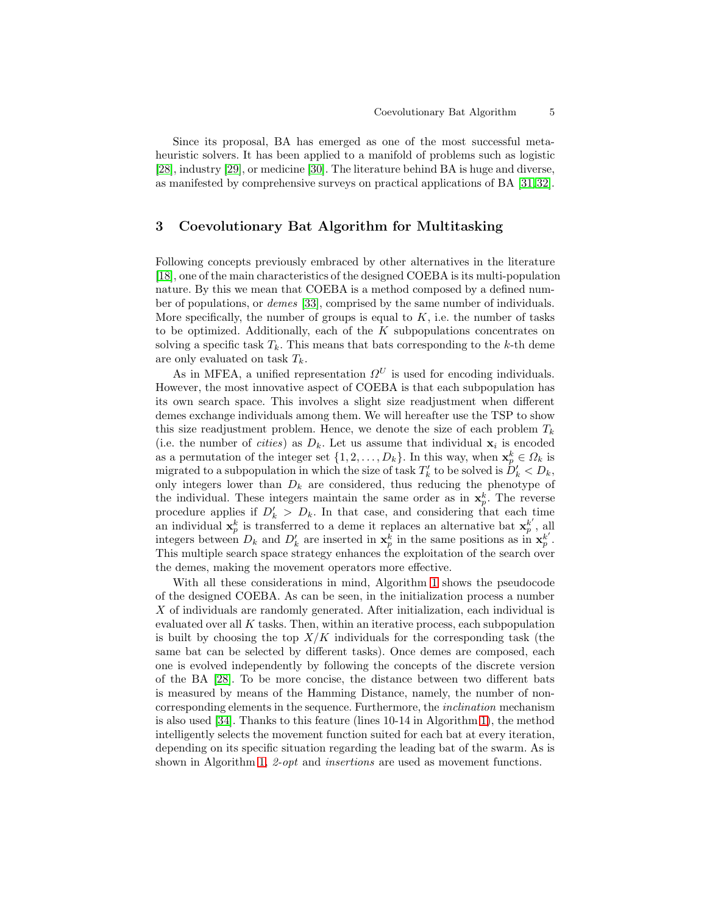Since its proposal, BA has emerged as one of the most successful metaheuristic solvers. It has been applied to a manifold of problems such as logistic [\[28\]](#page-11-17), industry [\[29\]](#page-12-0), or medicine [\[30\]](#page-12-1). The literature behind BA is huge and diverse, as manifested by comprehensive surveys on practical applications of BA [\[31,](#page-12-2)[32\]](#page-12-3).

# <span id="page-4-0"></span>3 Coevolutionary Bat Algorithm for Multitasking

Following concepts previously embraced by other alternatives in the literature [\[18\]](#page-11-5), one of the main characteristics of the designed COEBA is its multi-population nature. By this we mean that COEBA is a method composed by a defined number of populations, or demes [\[33\]](#page-12-4), comprised by the same number of individuals. More specifically, the number of groups is equal to  $K$ , i.e. the number of tasks to be optimized. Additionally, each of the  $K$  subpopulations concentrates on solving a specific task  $T_k$ . This means that bats corresponding to the k-th deme are only evaluated on task  $T_k$ .

As in MFEA, a unified representation  $\Omega^U$  is used for encoding individuals. However, the most innovative aspect of COEBA is that each subpopulation has its own search space. This involves a slight size readjustment when different demes exchange individuals among them. We will hereafter use the TSP to show this size readjustment problem. Hence, we denote the size of each problem  $T_k$ (i.e. the number of *cities*) as  $D_k$ . Let us assume that individual  $\mathbf{x}_i$  is encoded as a permutation of the integer set  $\{1, 2, \ldots, D_k\}$ . In this way, when  $\mathbf{x}_p^k \in \Omega_k$  is migrated to a subpopulation in which the size of task  $T'_{k}$  to be solved is  $\tilde{D}'_{k} < D_{k}$ , only integers lower than  $D_k$  are considered, thus reducing the phenotype of the individual. These integers maintain the same order as in  $\mathbf{x}_p^k$ . The reverse procedure applies if  $D'_k > D_k$ . In that case, and considering that each time an individual  $\mathbf{x}_p^k$  is transferred to a deme it replaces an alternative bat  $\mathbf{x}_p^{k'}$  $_p^k$ , all integers between  $D_k$  and  $D'_k$  are inserted in  $\mathbf{x}_p^k$  in the same positions as in  $\mathbf{x}_p^{k'}$  $_{p}^{k^{\prime }}.$ This multiple search space strategy enhances the exploitation of the search over the demes, making the movement operators more effective.

With all these considerations in mind, Algorithm [1](#page-5-1) shows the pseudocode of the designed COEBA. As can be seen, in the initialization process a number X of individuals are randomly generated. After initialization, each individual is evaluated over all  $K$  tasks. Then, within an iterative process, each subpopulation is built by choosing the top  $X/K$  individuals for the corresponding task (the same bat can be selected by different tasks). Once demes are composed, each one is evolved independently by following the concepts of the discrete version of the BA [\[28\]](#page-11-17). To be more concise, the distance between two different bats is measured by means of the Hamming Distance, namely, the number of noncorresponding elements in the sequence. Furthermore, the inclination mechanism is also used [\[34\]](#page-12-5). Thanks to this feature (lines 10-14 in Algorithm [1\)](#page-5-1), the method intelligently selects the movement function suited for each bat at every iteration, depending on its specific situation regarding the leading bat of the swarm. As is shown in Algorithm [1,](#page-5-1) 2-*opt* and *insertions* are used as movement functions.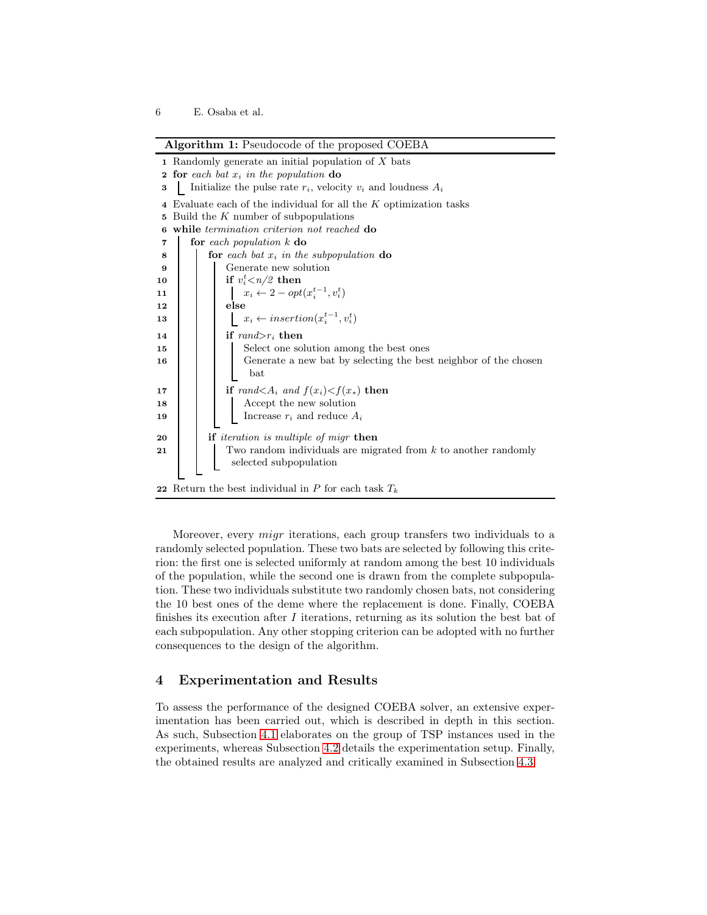|  |  | Algorithm 1: Pseudocode of the proposed COEBA |  |  |  |
|--|--|-----------------------------------------------|--|--|--|
|--|--|-----------------------------------------------|--|--|--|

| 1 Randomly generate an initial population of X bats                           |  |  |  |  |  |  |
|-------------------------------------------------------------------------------|--|--|--|--|--|--|
| <b>2</b> for each bat $x_i$ in the population do                              |  |  |  |  |  |  |
| Initialize the pulse rate $r_i$ , velocity $v_i$ and loudness $A_i$           |  |  |  |  |  |  |
| 4 Evaluate each of the individual for all the $K$ optimization tasks          |  |  |  |  |  |  |
| Build the $K$ number of subpopulations                                        |  |  |  |  |  |  |
| while <i>termination</i> criterion not reached <b>do</b>                      |  |  |  |  |  |  |
| for each population $k$ do                                                    |  |  |  |  |  |  |
| for each bat $x_i$ in the subpopulation do                                    |  |  |  |  |  |  |
| Generate new solution                                                         |  |  |  |  |  |  |
| if $v_i^t \langle n/2 \rangle$ then                                           |  |  |  |  |  |  |
| $x_i \leftarrow 2 - opt(x_i^{t-1}, v_i^t)$                                    |  |  |  |  |  |  |
| else                                                                          |  |  |  |  |  |  |
| $x_i \leftarrow insertion(x_i^{t-1}, v_i^t)$                                  |  |  |  |  |  |  |
| if $rand>r_i$ then                                                            |  |  |  |  |  |  |
| Select one solution among the best ones                                       |  |  |  |  |  |  |
| Generate a new bat by selecting the best neighbor of the chosen               |  |  |  |  |  |  |
| bat                                                                           |  |  |  |  |  |  |
| if rand $\langle A_i \text{ and } f(x_i) \rangle \langle f(x_*) \text{ then}$ |  |  |  |  |  |  |
| Accept the new solution                                                       |  |  |  |  |  |  |
| Increase $r_i$ and reduce $A_i$                                               |  |  |  |  |  |  |
| <b>if</b> <i>iteration is multiple of migr</i> <b>then</b>                    |  |  |  |  |  |  |
| Two random individuals are migrated from $k$ to another randomly              |  |  |  |  |  |  |
|                                                                               |  |  |  |  |  |  |
| selected subpopulation                                                        |  |  |  |  |  |  |
| 22 Return the best individual in P for each task $T_k$                        |  |  |  |  |  |  |
| 6.                                                                            |  |  |  |  |  |  |

<span id="page-5-1"></span>Moreover, every migr iterations, each group transfers two individuals to a randomly selected population. These two bats are selected by following this criterion: the first one is selected uniformly at random among the best 10 individuals of the population, while the second one is drawn from the complete subpopulation. These two individuals substitute two randomly chosen bats, not considering the 10 best ones of the deme where the replacement is done. Finally, COEBA finishes its execution after  $I$  iterations, returning as its solution the best bat of each subpopulation. Any other stopping criterion can be adopted with no further consequences to the design of the algorithm.

# <span id="page-5-0"></span>4 Experimentation and Results

To assess the performance of the designed COEBA solver, an extensive experimentation has been carried out, which is described in depth in this section. As such, Subsection [4.1](#page-6-0) elaborates on the group of TSP instances used in the experiments, whereas Subsection [4.2](#page-6-1) details the experimentation setup. Finally, the obtained results are analyzed and critically examined in Subsection [4.3.](#page-7-0)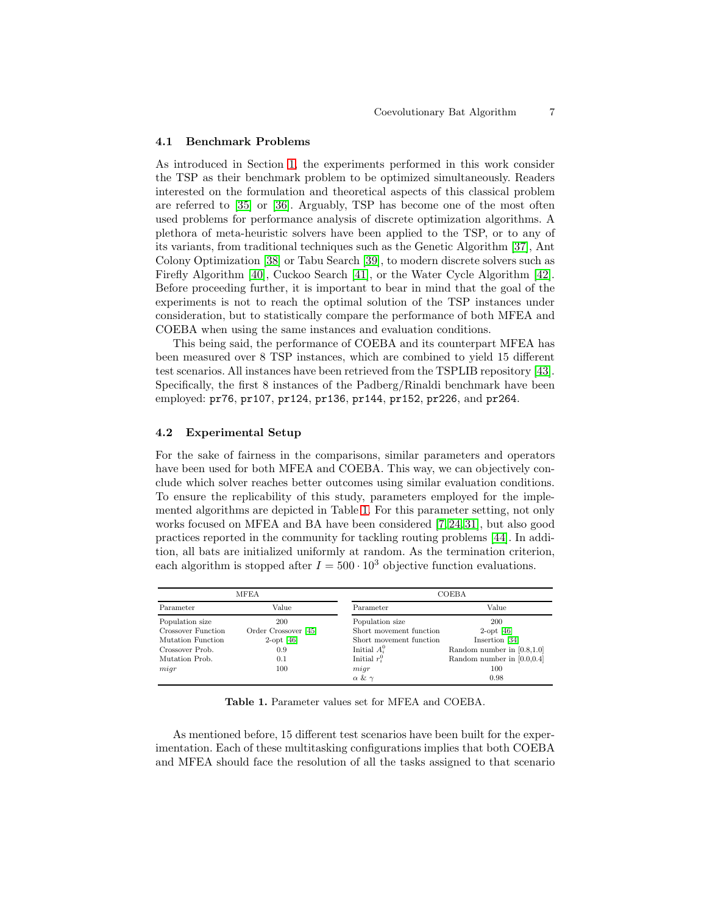#### <span id="page-6-0"></span>4.1 Benchmark Problems

As introduced in Section [1,](#page-0-0) the experiments performed in this work consider the TSP as their benchmark problem to be optimized simultaneously. Readers interested on the formulation and theoretical aspects of this classical problem are referred to [\[35\]](#page-12-6) or [\[36\]](#page-12-7). Arguably, TSP has become one of the most often used problems for performance analysis of discrete optimization algorithms. A plethora of meta-heuristic solvers have been applied to the TSP, or to any of its variants, from traditional techniques such as the Genetic Algorithm [\[37\]](#page-12-8), Ant Colony Optimization [\[38\]](#page-12-9) or Tabu Search [\[39\]](#page-12-10), to modern discrete solvers such as Firefly Algorithm [\[40\]](#page-12-11), Cuckoo Search [\[41\]](#page-12-12), or the Water Cycle Algorithm [\[42\]](#page-12-13). Before proceeding further, it is important to bear in mind that the goal of the experiments is not to reach the optimal solution of the TSP instances under consideration, but to statistically compare the performance of both MFEA and COEBA when using the same instances and evaluation conditions.

This being said, the performance of COEBA and its counterpart MFEA has been measured over 8 TSP instances, which are combined to yield 15 different test scenarios. All instances have been retrieved from the TSPLIB repository [\[43\]](#page-12-14). Specifically, the first 8 instances of the Padberg/Rinaldi benchmark have been employed: pr76, pr107, pr124, pr136, pr144, pr152, pr226, and pr264.

## <span id="page-6-1"></span>4.2 Experimental Setup

For the sake of fairness in the comparisons, similar parameters and operators have been used for both MFEA and COEBA. This way, we can objectively conclude which solver reaches better outcomes using similar evaluation conditions. To ensure the replicability of this study, parameters employed for the implemented algorithms are depicted in Table [1.](#page-6-2) For this parameter setting, not only works focused on MFEA and BA have been considered [\[7,](#page-10-6) [24,](#page-11-11) [31\]](#page-12-2), but also good practices reported in the community for tackling routing problems [\[44\]](#page-12-15). In addition, all bats are initialized uniformly at random. As the termination criterion, each algorithm is stopped after  $I = 500 \cdot 10^3$  objective function evaluations.

|                    | <b>MFEA</b>          | COEBA                   |                               |  |  |
|--------------------|----------------------|-------------------------|-------------------------------|--|--|
| Value<br>Parameter |                      | Parameter               | Value                         |  |  |
| Population size    | 200                  | Population size         | 200                           |  |  |
| Crossover Function | Order Crossover [45] | Short movement function | $2$ -opt [46]                 |  |  |
| Mutation Function  | $2$ -opt [46]        | Short movement function | Insertion [34]                |  |  |
| Crossover Prob.    | 0.9                  | Initial $A_i^0$         | Random number in $[0.8, 1.0]$ |  |  |
| Mutation Prob.     | 0.1                  | Initial $r_i^0$         | Random number in $[0.0, 0.4]$ |  |  |
| migr               | 100                  | migr                    | 100                           |  |  |
|                    |                      | $\alpha \& \gamma$      | 0.98                          |  |  |

<span id="page-6-2"></span>Table 1. Parameter values set for MFEA and COEBA.

As mentioned before, 15 different test scenarios have been built for the experimentation. Each of these multitasking configurations implies that both COEBA and MFEA should face the resolution of all the tasks assigned to that scenario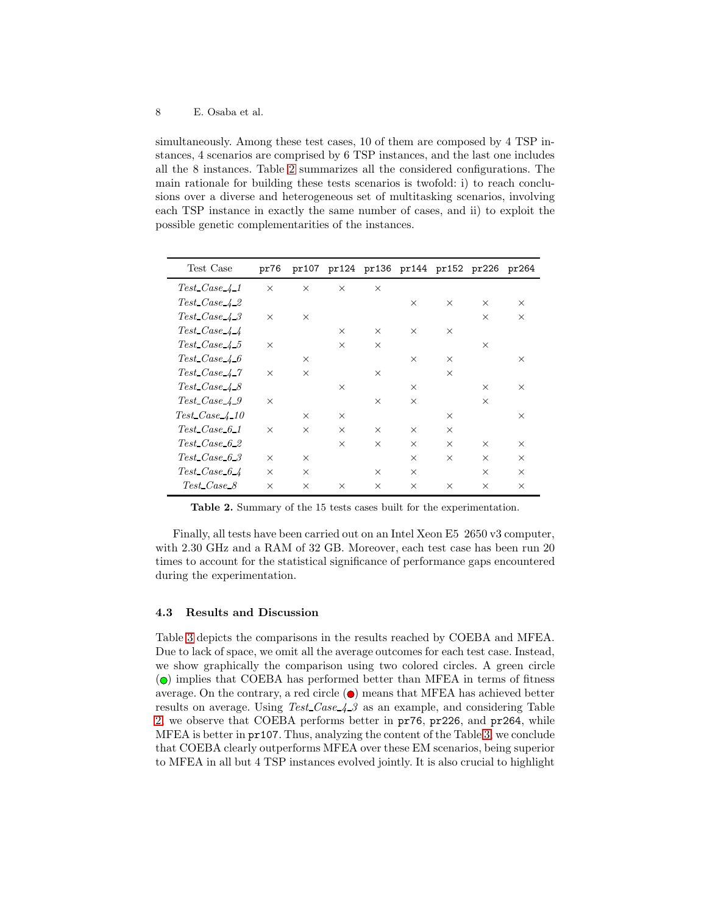simultaneously. Among these test cases, 10 of them are composed by 4 TSP instances, 4 scenarios are comprised by 6 TSP instances, and the last one includes all the 8 instances. Table [2](#page-7-1) summarizes all the considered configurations. The main rationale for building these tests scenarios is twofold: i) to reach conclusions over a diverse and heterogeneous set of multitasking scenarios, involving each TSP instance in exactly the same number of cases, and ii) to exploit the possible genetic complementarities of the instances.

| Test Case                            | pr76     |          |          |          | pr107 pr124 pr136 pr144 pr152 pr226 pr264 |          |          |          |
|--------------------------------------|----------|----------|----------|----------|-------------------------------------------|----------|----------|----------|
| $Test\_Case\_4\_1$                   | $\times$ | $\times$ | $\times$ | $\times$ |                                           |          |          |          |
| Test Case 4 2                        |          |          |          |          | $\times$                                  | $\times$ | $\times$ | $\times$ |
| $Test\text{ }Case\text{ }4\text{ }3$ | $\times$ | $\times$ |          |          |                                           |          | $\times$ | $\times$ |
| $Test\_Case\_4\_4$                   |          |          | $\times$ | $\times$ | $\times$                                  | $\times$ |          |          |
| Test Case 4.5                        | $\times$ |          | $\times$ | $\times$ |                                           |          | $\times$ |          |
| $Test\text{ }Case 4-6$               |          | $\times$ |          |          | $\times$                                  | $\times$ |          | $\times$ |
| Test Case 4.7                        | $\times$ | $\times$ |          | $\times$ |                                           | $\times$ |          |          |
| $Test\text{ }Case 4-8$               |          |          | $\times$ |          | $\times$                                  |          | $\times$ | $\times$ |
| Test Case 4.9                        | $\times$ |          |          | $\times$ | $\times$                                  |          | $\times$ |          |
| $Test\_Case 4 10$                    |          | $\times$ | $\times$ |          |                                           | $\times$ |          | $\times$ |
| $Test\text{-}Case 6.1$               | $\times$ | $\times$ | $\times$ | $\times$ | $\times$                                  | $\times$ |          |          |
| Test Case 6.2                        |          |          | $\times$ | $\times$ | $\times$                                  | $\times$ | $\times$ | $\times$ |
| Test Case 6.3                        | $\times$ | $\times$ |          |          | $\times$                                  | $\times$ | $\times$ | $\times$ |
| Test Case 64                         | $\times$ | $\times$ |          | $\times$ | $\times$                                  |          | $\times$ | $\times$ |
| Test_Case_8                          | $\times$ | $\times$ | $\times$ | $\times$ | $\times$                                  | $\times$ | $\times$ | $\times$ |

<span id="page-7-1"></span>Table 2. Summary of the 15 tests cases built for the experimentation.

Finally, all tests have been carried out on an Intel Xeon E5 2650 v3 computer, with 2.30 GHz and a RAM of 32 GB. Moreover, each test case has been run 20 times to account for the statistical significance of performance gaps encountered during the experimentation.

#### <span id="page-7-0"></span>4.3 Results and Discussion

Table [3](#page-8-0) depicts the comparisons in the results reached by COEBA and MFEA. Due to lack of space, we omit all the average outcomes for each test case. Instead, we show graphically the comparison using two colored circles. A green circle  $\overline{a}$  ( $\bullet$ ) implies that COEBA has performed better than MFEA in terms of fitness average. On the contrary, a red circle  $\left( \bullet \right)$  means that MFEA has achieved better results on average. Using Test Case 4.3 as an example, and considering Table [2,](#page-7-1) we observe that COEBA performs better in pr76, pr226, and pr264, while MFEA is better in pr107. Thus, analyzing the content of the Table [3,](#page-8-0) we conclude that COEBA clearly outperforms MFEA over these EM scenarios, being superior to MFEA in all but 4 TSP instances evolved jointly. It is also crucial to highlight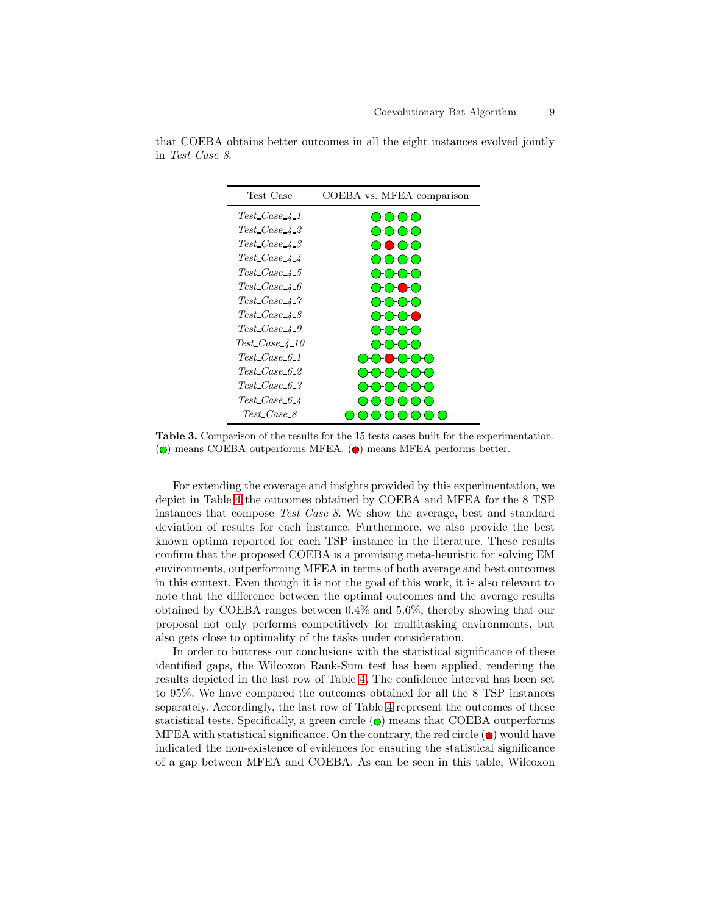| Test Case                             | COEBA vs. MFEA comparison |
|---------------------------------------|---------------------------|
| $Test\_Case\_4\_1$                    |                           |
| $Test\_Case\_4\_2$                    |                           |
| Test Case 4 3                         |                           |
| $Test\_Case\_4\_4$                    |                           |
| $Test\_Case\_4-5$                     |                           |
| Test Case 4 6                         |                           |
| Test Case 4.7                         |                           |
| $Test\_Case\_4-8$                     |                           |
| Test Case 4.9                         |                           |
| $Test\text{ }Case\text{ }4\text{ }10$ |                           |
| $Test\_Case_6_1$                      |                           |
| Test Case 6 2                         |                           |
| $Test\_Case_6_3$                      |                           |
| $Test\_Case\_6\_4$                    |                           |
| Test Case 8                           |                           |

that COEBA obtains better outcomes in all the eight instances evolved jointly in Test Case 8.

For extending the coverage and insights provided by this experimentation, we depict in Table [4](#page-9-1) the outcomes obtained by COEBA and MFEA for the 8 TSP instances that compose Test-Case-8. We show the average, best and standard deviation of results for each instance. Furthermore, we also provide the best known optima reported for each TSP instance in the literature. These results confirm that the proposed COEBA is a promising meta-heuristic for solving EM environments, outperforming MFEA in terms of both average and best outcomes in this context. Even though it is not the goal of this work, it is also relevant to note that the difference between the optimal outcomes and the average results obtained by COEBA ranges between 0.4% and 5.6%, thereby showing that our proposal not only performs competitively for multitasking environments, but also gets close to optimality of the tasks under consideration.

In order to buttress our conclusions with the statistical significance of these identified gaps, the Wilcoxon Rank-Sum test has been applied, rendering the results depicted in the last row of Table [4.](#page-9-1) The confidence interval has been set to 95%. We have compared the outcomes obtained for all the 8 TSP instances separately. Accordingly, the last row of Table [4](#page-9-1) represent the outcomes of these statistical tests. Specifically, a green circle  $\odot$  means that COEBA outperforms MFEA with statistical significance. On the contrary, the red circle  $\odot$  would have indicated the non-existence of evidences for ensuring the statistical significance of a gap between MFEA and COEBA. As can be seen in this table, Wilcoxon

<span id="page-8-0"></span>Table 3. Comparison of the results for the 15 tests cases built for the experimentation.  $\overline{O}$  means COEBA outperforms MFEA.  $\overline{O}$  means MFEA performs better.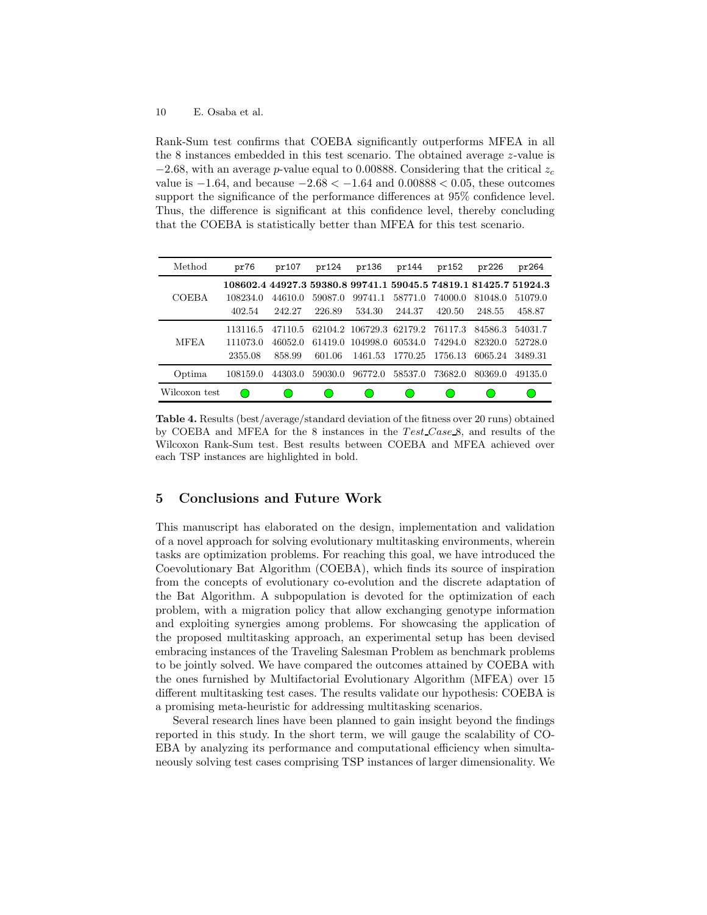#### 10 E. Osaba et al.

Rank-Sum test confirms that COEBA significantly outperforms MFEA in all the 8 instances embedded in this test scenario. The obtained average z-value is  $-2.68$ , with an average p-value equal to 0.00888. Considering that the critical  $z_c$ value is  $-1.64$ , and because  $-2.68 < -1.64$  and  $0.00888 < 0.05$ , these outcomes support the significance of the performance differences at 95% confidence level. Thus, the difference is significant at this confidence level, thereby concluding that the COEBA is statistically better than MFEA for this test scenario.

| Method        | pr76                                                             | pr107   | pr124   | pr136                    | pr144   | pr152   | pr226   | pr264   |
|---------------|------------------------------------------------------------------|---------|---------|--------------------------|---------|---------|---------|---------|
|               | 108602.4 44927.3 59380.8 99741.1 59045.5 74819.1 81425.7 51924.3 |         |         |                          |         |         |         |         |
| <b>COEBA</b>  | 108234.0                                                         | 44610.0 | 59087.0 | 99741.1                  | 58771.0 | 74000.0 | 81048.0 | 51079.0 |
|               | 402.54                                                           | 242.27  | 226.89  | 534.30                   | 244.37  | 420.50  | 248.55  | 458.87  |
|               | 113116.5                                                         | 47110.5 |         | 62104.2 106729.3 62179.2 |         | 76117.3 | 84586.3 | 54031.7 |
| <b>MFEA</b>   | 111073.0                                                         | 46052.0 | 61419.0 | 104998.0                 | 60534.0 | 74294.0 | 82320.0 | 52728.0 |
|               | 2355.08                                                          | 858.99  | 601.06  | 1461.53                  | 1770.25 | 1756.13 | 6065.24 | 3489.31 |
| Optima        | 108159.0                                                         | 44303.0 | 59030.0 | 96772.0                  | 58537.0 | 73682.0 | 80369.0 | 49135.0 |
| Wilcoxon test |                                                                  |         |         |                          |         |         |         |         |

<span id="page-9-1"></span>Table 4. Results (best/average/standard deviation of the fitness over 20 runs) obtained by COEBA and MFEA for the 8 instances in the Test Case 8, and results of the Wilcoxon Rank-Sum test. Best results between COEBA and MFEA achieved over each TSP instances are highlighted in bold.

# <span id="page-9-0"></span>5 Conclusions and Future Work

This manuscript has elaborated on the design, implementation and validation of a novel approach for solving evolutionary multitasking environments, wherein tasks are optimization problems. For reaching this goal, we have introduced the Coevolutionary Bat Algorithm (COEBA), which finds its source of inspiration from the concepts of evolutionary co-evolution and the discrete adaptation of the Bat Algorithm. A subpopulation is devoted for the optimization of each problem, with a migration policy that allow exchanging genotype information and exploiting synergies among problems. For showcasing the application of the proposed multitasking approach, an experimental setup has been devised embracing instances of the Traveling Salesman Problem as benchmark problems to be jointly solved. We have compared the outcomes attained by COEBA with the ones furnished by Multifactorial Evolutionary Algorithm (MFEA) over 15 different multitasking test cases. The results validate our hypothesis: COEBA is a promising meta-heuristic for addressing multitasking scenarios.

Several research lines have been planned to gain insight beyond the findings reported in this study. In the short term, we will gauge the scalability of CO-EBA by analyzing its performance and computational efficiency when simultaneously solving test cases comprising TSP instances of larger dimensionality. We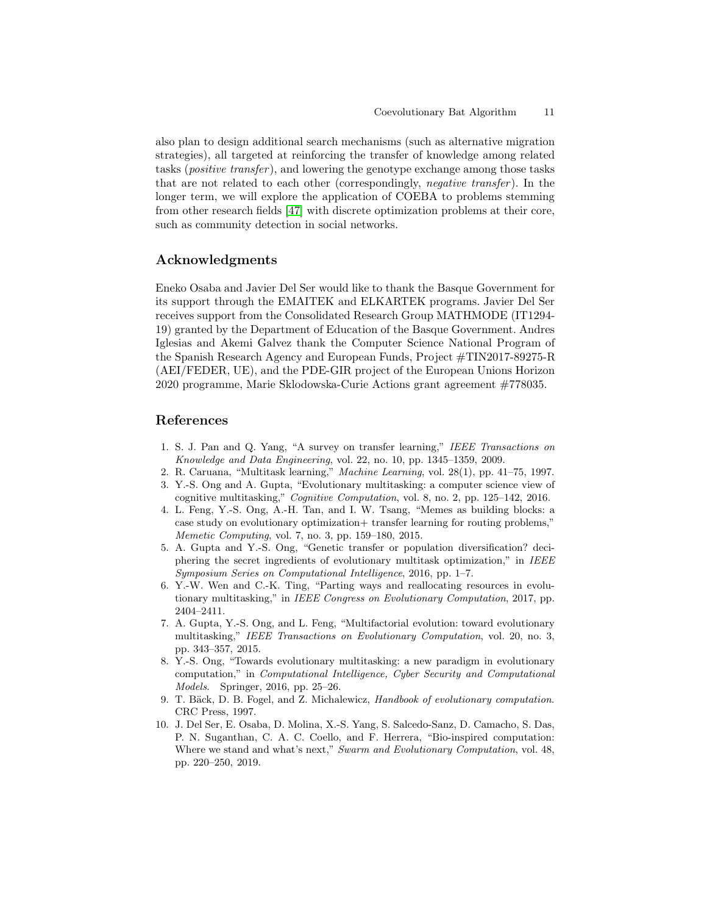also plan to design additional search mechanisms (such as alternative migration strategies), all targeted at reinforcing the transfer of knowledge among related tasks (positive transfer ), and lowering the genotype exchange among those tasks that are not related to each other (correspondingly, *negative transfer*). In the longer term, we will explore the application of COEBA to problems stemming from other research fields [\[47\]](#page-12-18) with discrete optimization problems at their core, such as community detection in social networks.

# Acknowledgments

Eneko Osaba and Javier Del Ser would like to thank the Basque Government for its support through the EMAITEK and ELKARTEK programs. Javier Del Ser receives support from the Consolidated Research Group MATHMODE (IT1294- 19) granted by the Department of Education of the Basque Government. Andres Iglesias and Akemi Galvez thank the Computer Science National Program of the Spanish Research Agency and European Funds, Project #TIN2017-89275-R (AEI/FEDER, UE), and the PDE-GIR project of the European Unions Horizon 2020 programme, Marie Sklodowska-Curie Actions grant agreement #778035.

# <span id="page-10-0"></span>References

- 1. S. J. Pan and Q. Yang, "A survey on transfer learning," *IEEE Transactions on Knowledge and Data Engineering*, vol. 22, no. 10, pp. 1345–1359, 2009.
- <span id="page-10-2"></span><span id="page-10-1"></span>2. R. Caruana, "Multitask learning," *Machine Learning*, vol. 28(1), pp. 41–75, 1997.
- 3. Y.-S. Ong and A. Gupta, "Evolutionary multitasking: a computer science view of cognitive multitasking," *Cognitive Computation*, vol. 8, no. 2, pp. 125–142, 2016.
- <span id="page-10-3"></span>4. L. Feng, Y.-S. Ong, A.-H. Tan, and I. W. Tsang, "Memes as building blocks: a case study on evolutionary optimization+ transfer learning for routing problems," *Memetic Computing*, vol. 7, no. 3, pp. 159–180, 2015.
- <span id="page-10-4"></span>5. A. Gupta and Y.-S. Ong, "Genetic transfer or population diversification? deciphering the secret ingredients of evolutionary multitask optimization," in *IEEE Symposium Series on Computational Intelligence*, 2016, pp. 1–7.
- <span id="page-10-5"></span>6. Y.-W. Wen and C.-K. Ting, "Parting ways and reallocating resources in evolutionary multitasking," in *IEEE Congress on Evolutionary Computation*, 2017, pp. 2404–2411.
- <span id="page-10-6"></span>7. A. Gupta, Y.-S. Ong, and L. Feng, "Multifactorial evolution: toward evolutionary multitasking," *IEEE Transactions on Evolutionary Computation*, vol. 20, no. 3, pp. 343–357, 2015.
- <span id="page-10-7"></span>8. Y.-S. Ong, "Towards evolutionary multitasking: a new paradigm in evolutionary computation," in *Computational Intelligence, Cyber Security and Computational Models*. Springer, 2016, pp. 25–26.
- <span id="page-10-8"></span>9. T. Bäck, D. B. Fogel, and Z. Michalewicz, *Handbook of evolutionary computation*. CRC Press, 1997.
- <span id="page-10-9"></span>10. J. Del Ser, E. Osaba, D. Molina, X.-S. Yang, S. Salcedo-Sanz, D. Camacho, S. Das, P. N. Suganthan, C. A. C. Coello, and F. Herrera, "Bio-inspired computation: Where we stand and what's next," *Swarm and Evolutionary Computation*, vol. 48, pp. 220–250, 2019.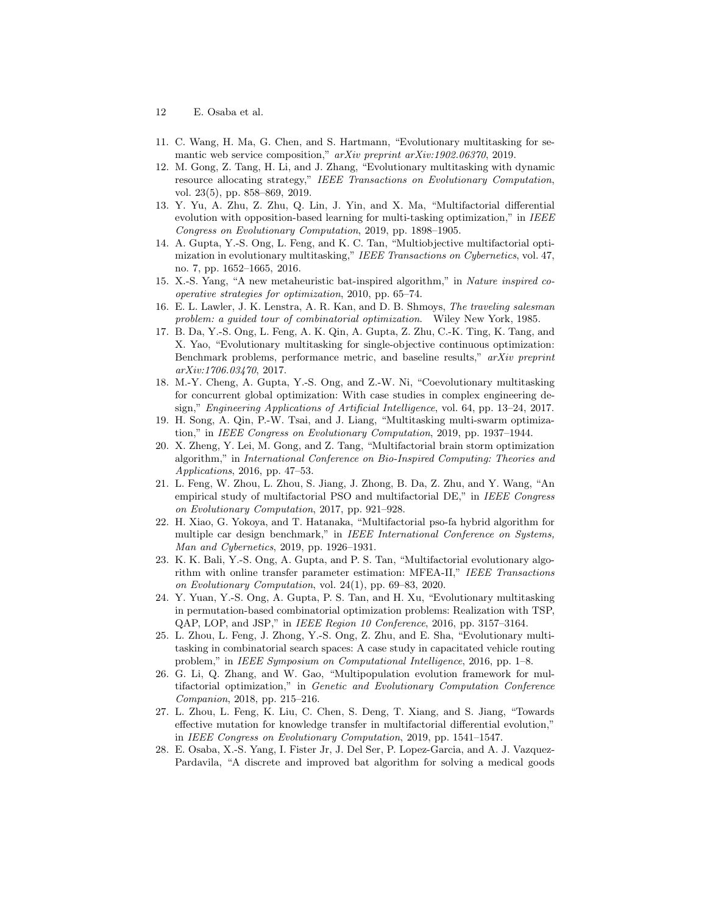- 12 E. Osaba et al.
- <span id="page-11-13"></span><span id="page-11-0"></span>11. C. Wang, H. Ma, G. Chen, and S. Hartmann, "Evolutionary multitasking for semantic web service composition," *arXiv preprint arXiv:1902.06370*, 2019.
- 12. M. Gong, Z. Tang, H. Li, and J. Zhang, "Evolutionary multitasking with dynamic resource allocating strategy," *IEEE Transactions on Evolutionary Computation*, vol. 23(5), pp. 858–869, 2019.
- <span id="page-11-14"></span>13. Y. Yu, A. Zhu, Z. Zhu, Q. Lin, J. Yin, and X. Ma, "Multifactorial differential evolution with opposition-based learning for multi-tasking optimization," in *IEEE Congress on Evolutionary Computation*, 2019, pp. 1898–1905.
- <span id="page-11-1"></span>14. A. Gupta, Y.-S. Ong, L. Feng, and K. C. Tan, "Multiobjective multifactorial optimization in evolutionary multitasking," *IEEE Transactions on Cybernetics*, vol. 47, no. 7, pp. 1652–1665, 2016.
- <span id="page-11-2"></span>15. X.-S. Yang, "A new metaheuristic bat-inspired algorithm," in *Nature inspired cooperative strategies for optimization*, 2010, pp. 65–74.
- <span id="page-11-3"></span>16. E. L. Lawler, J. K. Lenstra, A. R. Kan, and D. B. Shmoys, *The traveling salesman problem: a guided tour of combinatorial optimization*. Wiley New York, 1985.
- <span id="page-11-4"></span>17. B. Da, Y.-S. Ong, L. Feng, A. K. Qin, A. Gupta, Z. Zhu, C.-K. Ting, K. Tang, and X. Yao, "Evolutionary multitasking for single-objective continuous optimization: Benchmark problems, performance metric, and baseline results," *arXiv preprint arXiv:1706.03470*, 2017.
- <span id="page-11-5"></span>18. M.-Y. Cheng, A. Gupta, Y.-S. Ong, and Z.-W. Ni, "Coevolutionary multitasking for concurrent global optimization: With case studies in complex engineering design," *Engineering Applications of Artificial Intelligence*, vol. 64, pp. 13–24, 2017.
- <span id="page-11-6"></span>19. H. Song, A. Qin, P.-W. Tsai, and J. Liang, "Multitasking multi-swarm optimization," in *IEEE Congress on Evolutionary Computation*, 2019, pp. 1937–1944.
- <span id="page-11-7"></span>20. X. Zheng, Y. Lei, M. Gong, and Z. Tang, "Multifactorial brain storm optimization algorithm," in *International Conference on Bio-Inspired Computing: Theories and Applications*, 2016, pp. 47–53.
- <span id="page-11-8"></span>21. L. Feng, W. Zhou, L. Zhou, S. Jiang, J. Zhong, B. Da, Z. Zhu, and Y. Wang, "An empirical study of multifactorial PSO and multifactorial DE," in *IEEE Congress on Evolutionary Computation*, 2017, pp. 921–928.
- <span id="page-11-9"></span>22. H. Xiao, G. Yokoya, and T. Hatanaka, "Multifactorial pso-fa hybrid algorithm for multiple car design benchmark," in *IEEE International Conference on Systems, Man and Cybernetics*, 2019, pp. 1926–1931.
- <span id="page-11-10"></span>23. K. K. Bali, Y.-S. Ong, A. Gupta, and P. S. Tan, "Multifactorial evolutionary algorithm with online transfer parameter estimation: MFEA-II," *IEEE Transactions on Evolutionary Computation*, vol. 24(1), pp. 69–83, 2020.
- <span id="page-11-11"></span>24. Y. Yuan, Y.-S. Ong, A. Gupta, P. S. Tan, and H. Xu, "Evolutionary multitasking in permutation-based combinatorial optimization problems: Realization with TSP, QAP, LOP, and JSP," in *IEEE Region 10 Conference*, 2016, pp. 3157–3164.
- <span id="page-11-12"></span>25. L. Zhou, L. Feng, J. Zhong, Y.-S. Ong, Z. Zhu, and E. Sha, "Evolutionary multitasking in combinatorial search spaces: A case study in capacitated vehicle routing problem," in *IEEE Symposium on Computational Intelligence*, 2016, pp. 1–8.
- <span id="page-11-15"></span>26. G. Li, Q. Zhang, and W. Gao, "Multipopulation evolution framework for multifactorial optimization," in *Genetic and Evolutionary Computation Conference Companion*, 2018, pp. 215–216.
- <span id="page-11-16"></span>27. L. Zhou, L. Feng, K. Liu, C. Chen, S. Deng, T. Xiang, and S. Jiang, "Towards effective mutation for knowledge transfer in multifactorial differential evolution," in *IEEE Congress on Evolutionary Computation*, 2019, pp. 1541–1547.
- <span id="page-11-17"></span>28. E. Osaba, X.-S. Yang, I. Fister Jr, J. Del Ser, P. Lopez-Garcia, and A. J. Vazquez-Pardavila, "A discrete and improved bat algorithm for solving a medical goods